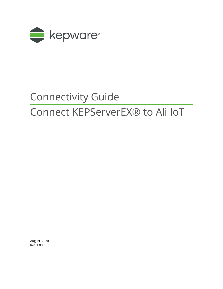

# Connectivity Guide

## Connect KEPServerEX® to Ali IoT

August, 2020 Ref. 1.00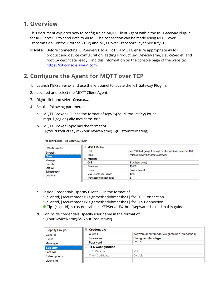### **1. Overview**

This document explores how to configure an MQTT Client Agent within the IoT Gateway Plug-In for KEPServerEX to send data to Ali IoT. The connection can be made using MQTT over Transmission Control Protocol (TCP) and MQTT over Transport Layer Security (TLS).

**Note**: Before connecting KEPServerEX to Ali IoT via MQTT, ensure appropriate Ali IoT product and device configuration, getting ProductKey, DeviceName, DeviceSecret, and root CA certificate ready. Find this information on the console page of the website: [https://iot.console.aliyun.com.](https://iot.console.aliyun.com/)

## **2. Configure the Agent for MQTT over TCP**

- 1. Launch KEPServerEX and use the left panel to locate the IoT Gateway Plug-In.
- 2. Located and select the MQTT Client Agent.
- 3. Right-click and select **Create…**.
- 4. Set the following parameters:
	- a. MQTT Broker URL has the format of tcp://\${YourProductKey}.iot-asmqtt.\${region}.aliyuncs.com:1883
	- b. MQTT Broker Topic has the format of /\${YourProductKey}/\${YourDeviceName}/\${CustomizedString}

Property Editor - IoT Gateway.Aliyun

| <b>Property Groups</b>                                         | <b>MQTT Broker</b><br>Ξ    |                                                             |  |
|----------------------------------------------------------------|----------------------------|-------------------------------------------------------------|--|
| General                                                        | URL                        | tcp://Xlabolkgxcq.iot-as-mqtt.cn-shanghai.aliyuncs.com:1883 |  |
| <b>Client</b>                                                  | <b>Topic</b>               | /Xlabolkgxcq/Shanghai/iotgateway                            |  |
| Message<br>Security<br>Last Will<br>Subscriptions<br>Licensing | <b>Publish</b>             |                                                             |  |
|                                                                | QoS                        | 1 (At least once)                                           |  |
|                                                                | Rate (ms)                  | 10000                                                       |  |
|                                                                | Format                     | Narrow Format                                               |  |
|                                                                | Max Events per Publish     | 1000                                                        |  |
|                                                                | Transaction timeout in (s) | 5                                                           |  |

- c. Inside Credentials, specify Client ID in the format of \${clientId}|securemode=3,signmethod=hmacsha1| for TCP Connection \${clientId}|securemode=2,signmethod=hmacsha1| for TLS Connection **Tip**: {clientId} is customizable in KEPServerEX, but "Kepware" is used in this guide.
- d. For inside credentials, specify user name in the format of \${YourDeviceName}&\${YourProductKey}

| <b>Property Groups</b>               | <b>Credentials</b><br>÷.   |                                                                   |  |
|--------------------------------------|----------------------------|-------------------------------------------------------------------|--|
| General                              | Client ID                  | Kepware securemode=3,signmethod=hmacsha1 <br>Shanghai&Xlabolkgxcq |  |
| Client<br>Message<br><b>Security</b> | Username                   |                                                                   |  |
|                                      | Password                   | ********                                                          |  |
|                                      | <b>E</b> TLS Configuration |                                                                   |  |
| Last Will                            | <b>TLS Version</b>         | v1.2                                                              |  |
| Subscriptions                        | <b>Client Certificate</b>  | <b>Disable</b>                                                    |  |
| Licensing                            |                            |                                                                   |  |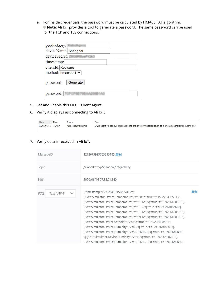e. For inside credentials, the password must be calculated by HMACSHA1 algorithm. **Note**: Ali IoT provides a tool to generate a password. The same password can be used for the TCP and TLS connections.

| productKey:             |  |  |  |
|-------------------------|--|--|--|
| deviceName: Shanghai    |  |  |  |
| deviceSecret:           |  |  |  |
| timestamp:              |  |  |  |
| clientId: Kepware       |  |  |  |
| method: hmacsha1 $\sim$ |  |  |  |
| Generate<br>password:   |  |  |  |
| password:               |  |  |  |

- 5. Set and Enable this MQTT Client Agent.
- 6. Verify it displays as connecting to Ali IoT.

| Date                     | Time    | Source              | Event                                                                                                         |
|--------------------------|---------|---------------------|---------------------------------------------------------------------------------------------------------------|
| $\dot{\bm{0}}$ 2020/6/16 | 7:34:57 | KEPServerEX\Runtime | MQTT agent 'Ali_IoT_TCP' is connected to broker 'tcp://Xlabolkgxcq.iot-as-mgtt.cn-shanghai.aliyuncs.com:1883' |

#### 7. Verify data is received in Ali IoT.

| MessageID                          | 1272673999763293185 复制                                                                                                                                                                                                                                                                                                                                                                                                                                                                                                                                                                                                                                                                                                                                                                                                                   |    |
|------------------------------------|------------------------------------------------------------------------------------------------------------------------------------------------------------------------------------------------------------------------------------------------------------------------------------------------------------------------------------------------------------------------------------------------------------------------------------------------------------------------------------------------------------------------------------------------------------------------------------------------------------------------------------------------------------------------------------------------------------------------------------------------------------------------------------------------------------------------------------------|----|
| <b>Topic</b>                       | /Xlabolkgxcq/Shanghai/iotgateway                                                                                                                                                                                                                                                                                                                                                                                                                                                                                                                                                                                                                                                                                                                                                                                                         |    |
| 时间                                 | 2020/06/16 07:35:01.340                                                                                                                                                                                                                                                                                                                                                                                                                                                                                                                                                                                                                                                                                                                                                                                                                  |    |
| Text (UTF-8)<br>内容<br>$\checkmark$ | {"timestamp":1592264101518,"values":<br>[{"id":"Simulator.Device.Temperature","v":20,"q":true,"t":1592264085613},<br>{"id":"Simulator.Device.Temperature","v":31.125,"q":true,"t":1592264086619},<br>{"id":"Simulator.Device.Temperature","v":21.5,"q":true,"t":1592264087618},<br>{"id":"Simulator.Device.Temperature","v":21.125,"q":true,"t":1592264088613},<br>{"id":"Simulator.Device.Temperature","v":29.125,"q":true,"t":1592264089615},<br>{"id":"Simulator.Device.Setpoint","v":0,"q":true,"t":1592264085613},<br>{"id":"Simulator.Device.Humidity","v":40,"q":true,"t":1592264085613},<br>{"id":"Simulator.Device.Humidity","v":55.1666679,"q":true,"t":159226408661<br>9},{"id":"Simulator.Device.Humidity","v":45,"q":true,"t":1592264087618},<br>f"id":"Simulator.Device.Humidity"."v":42.1666679."g":true."t":159226408861 | 复制 |